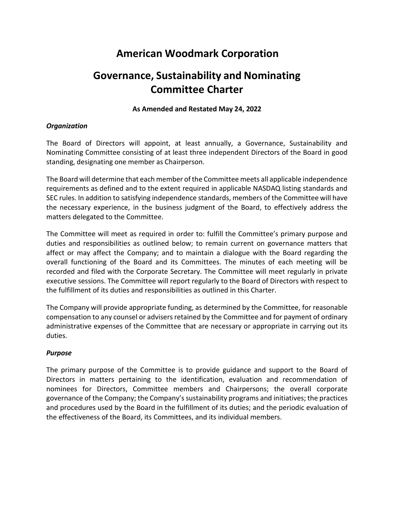# **American Woodmark Corporation**

# **Governance, Sustainability and Nominating Committee Charter**

#### **As Amended and Restated May 24, 2022**

### *Organization*

The Board of Directors will appoint, at least annually, a Governance, Sustainability and Nominating Committee consisting of at least three independent Directors of the Board in good standing, designating one member as Chairperson.

The Board will determine that each member of the Committee meets all applicable independence requirements as defined and to the extent required in applicable NASDAQ listing standards and SEC rules. In addition to satisfying independence standards, members of the Committee will have the necessary experience, in the business judgment of the Board, to effectively address the matters delegated to the Committee.

The Committee will meet as required in order to: fulfill the Committee's primary purpose and duties and responsibilities as outlined below; to remain current on governance matters that affect or may affect the Company; and to maintain a dialogue with the Board regarding the overall functioning of the Board and its Committees. The minutes of each meeting will be recorded and filed with the Corporate Secretary. The Committee will meet regularly in private executive sessions. The Committee will report regularly to the Board of Directors with respect to the fulfillment of its duties and responsibilities as outlined in this Charter.

The Company will provide appropriate funding, as determined by the Committee, for reasonable compensation to any counsel or advisers retained by the Committee and for payment of ordinary administrative expenses of the Committee that are necessary or appropriate in carrying out its duties.

## *Purpose*

The primary purpose of the Committee is to provide guidance and support to the Board of Directors in matters pertaining to the identification, evaluation and recommendation of nominees for Directors, Committee members and Chairpersons; the overall corporate governance of the Company; the Company's sustainability programs and initiatives; the practices and procedures used by the Board in the fulfillment of its duties; and the periodic evaluation of the effectiveness of the Board, its Committees, and its individual members.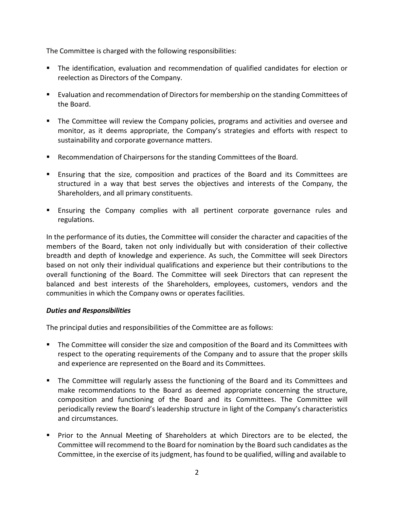The Committee is charged with the following responsibilities:

- The identification, evaluation and recommendation of qualified candidates for election or reelection as Directors of the Company.
- **Exaluation and recommendation of Directors for membership on the standing Committees of** the Board.
- The Committee will review the Company policies, programs and activities and oversee and monitor, as it deems appropriate, the Company's strategies and efforts with respect to sustainability and corporate governance matters.
- Recommendation of Chairpersons for the standing Committees of the Board.
- Ensuring that the size, composition and practices of the Board and its Committees are structured in a way that best serves the objectives and interests of the Company, the Shareholders, and all primary constituents.
- Ensuring the Company complies with all pertinent corporate governance rules and regulations.

In the performance of its duties, the Committee will consider the character and capacities of the members of the Board, taken not only individually but with consideration of their collective breadth and depth of knowledge and experience. As such, the Committee will seek Directors based on not only their individual qualifications and experience but their contributions to the overall functioning of the Board. The Committee will seek Directors that can represent the balanced and best interests of the Shareholders, employees, customers, vendors and the communities in which the Company owns or operates facilities.

#### *Duties and Responsibilities*

The principal duties and responsibilities of the Committee are as follows:

- The Committee will consider the size and composition of the Board and its Committees with respect to the operating requirements of the Company and to assure that the proper skills and experience are represented on the Board and its Committees.
- **The Committee will regularly assess the functioning of the Board and its Committees and** make recommendations to the Board as deemed appropriate concerning the structure, composition and functioning of the Board and its Committees. The Committee will periodically review the Board's leadership structure in light of the Company's characteristics and circumstances.
- **Prior to the Annual Meeting of Shareholders at which Directors are to be elected, the** Committee will recommend to the Board for nomination by the Board such candidates as the Committee, in the exercise of itsjudgment, has found to be qualified, willing and available to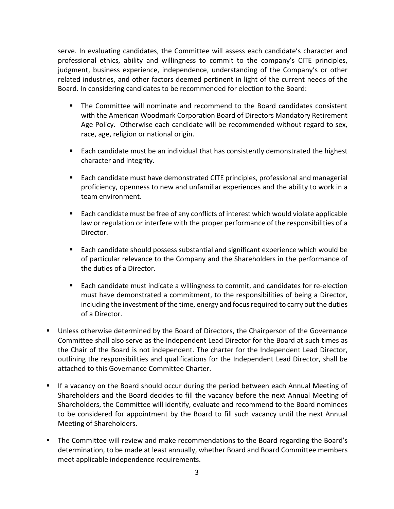serve. In evaluating candidates, the Committee will assess each candidate's character and professional ethics, ability and willingness to commit to the company's CITE principles, judgment, business experience, independence, understanding of the Company's or other related industries, and other factors deemed pertinent in light of the current needs of the Board. In considering candidates to be recommended for election to the Board:

- The Committee will nominate and recommend to the Board candidates consistent with the American Woodmark Corporation Board of Directors Mandatory Retirement Age Policy. Otherwise each candidate will be recommended without regard to sex, race, age, religion or national origin.
- **Each candidate must be an individual that has consistently demonstrated the highest** character and integrity.
- Each candidate must have demonstrated CITE principles, professional and managerial proficiency, openness to new and unfamiliar experiences and the ability to work in a team environment.
- Each candidate must be free of any conflicts of interest which would violate applicable law or regulation or interfere with the proper performance of the responsibilities of a Director.
- Each candidate should possess substantial and significant experience which would be of particular relevance to the Company and the Shareholders in the performance of the duties of a Director.
- Each candidate must indicate a willingness to commit, and candidates for re-election must have demonstrated a commitment, to the responsibilities of being a Director, including the investment of the time, energy and focusrequired to carry out the duties of a Director.
- Unless otherwise determined by the Board of Directors, the Chairperson of the Governance Committee shall also serve as the Independent Lead Director for the Board at such times as the Chair of the Board is not independent. The charter for the Independent Lead Director, outlining the responsibilities and qualifications for the Independent Lead Director, shall be attached to this Governance Committee Charter.
- If a vacancy on the Board should occur during the period between each Annual Meeting of Shareholders and the Board decides to fill the vacancy before the next Annual Meeting of Shareholders, the Committee will identify, evaluate and recommend to the Board nominees to be considered for appointment by the Board to fill such vacancy until the next Annual Meeting of Shareholders.
- The Committee will review and make recommendations to the Board regarding the Board's determination, to be made at least annually, whether Board and Board Committee members meet applicable independence requirements.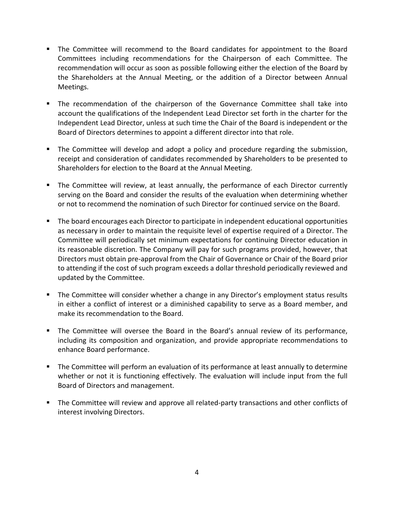- The Committee will recommend to the Board candidates for appointment to the Board Committees including recommendations for the Chairperson of each Committee. The recommendation will occur as soon as possible following either the election of the Board by the Shareholders at the Annual Meeting, or the addition of a Director between Annual Meetings.
- The recommendation of the chairperson of the Governance Committee shall take into account the qualifications of the Independent Lead Director set forth in the charter for the Independent Lead Director, unless at such time the Chair of the Board is independent or the Board of Directors determines to appoint a different director into that role.
- The Committee will develop and adopt a policy and procedure regarding the submission, receipt and consideration of candidates recommended by Shareholders to be presented to Shareholders for election to the Board at the Annual Meeting.
- **The Committee will review, at least annually, the performance of each Director currently** serving on the Board and consider the results of the evaluation when determining whether or not to recommend the nomination of such Director for continued service on the Board.
- The board encourages each Director to participate in independent educational opportunities as necessary in order to maintain the requisite level of expertise required of a Director. The Committee will periodically set minimum expectations for continuing Director education in its reasonable discretion. The Company will pay for such programs provided, however, that Directors must obtain pre-approval from the Chair of Governance or Chair of the Board prior to attending if the cost of such program exceeds a dollar threshold periodically reviewed and updated by the Committee.
- **The Committee will consider whether a change in any Director's employment status results** in either a conflict of interest or a diminished capability to serve as a Board member, and make its recommendation to the Board.
- The Committee will oversee the Board in the Board's annual review of its performance, including its composition and organization, and provide appropriate recommendations to enhance Board performance.
- **The Committee will perform an evaluation of its performance at least annually to determine** whether or not it is functioning effectively. The evaluation will include input from the full Board of Directors and management.
- **The Committee will review and approve all related-party transactions and other conflicts of** interest involving Directors.